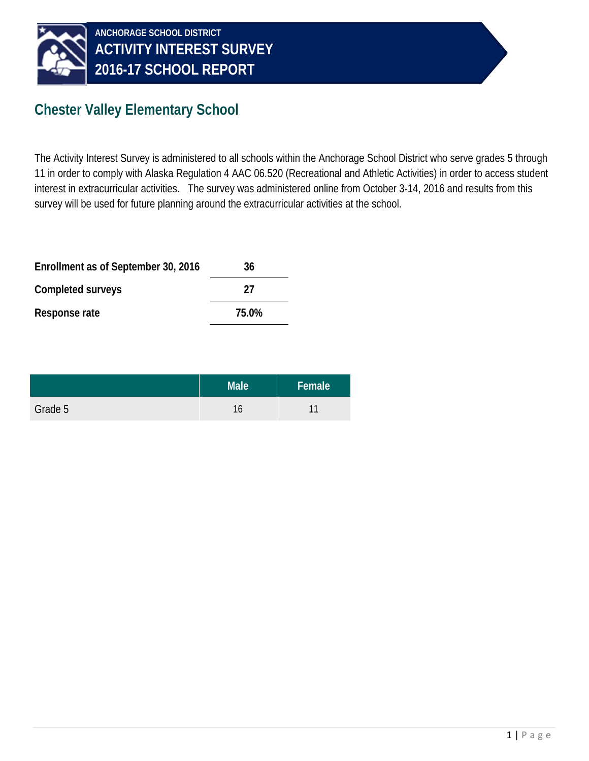

## **Chester Valley Elementary School**

The Activity Interest Survey is administered to all schools within the Anchorage School District who serve grades 5 through 11 in order to comply with Alaska Regulation 4 AAC 06.520 (Recreational and Athletic Activities) in order to access student interest in extracurricular activities. The survey was administered online from October 3-14, 2016 and results from this survey will be used for future planning around the extracurricular activities at the school.

| Enrollment as of September 30, 2016 | 36    |
|-------------------------------------|-------|
| Completed surveys                   | 27    |
| Response rate                       | 75.0% |

|         | Male <sup>'</sup> | Female <sup> </sup> |
|---------|-------------------|---------------------|
| Grade 5 | 16                |                     |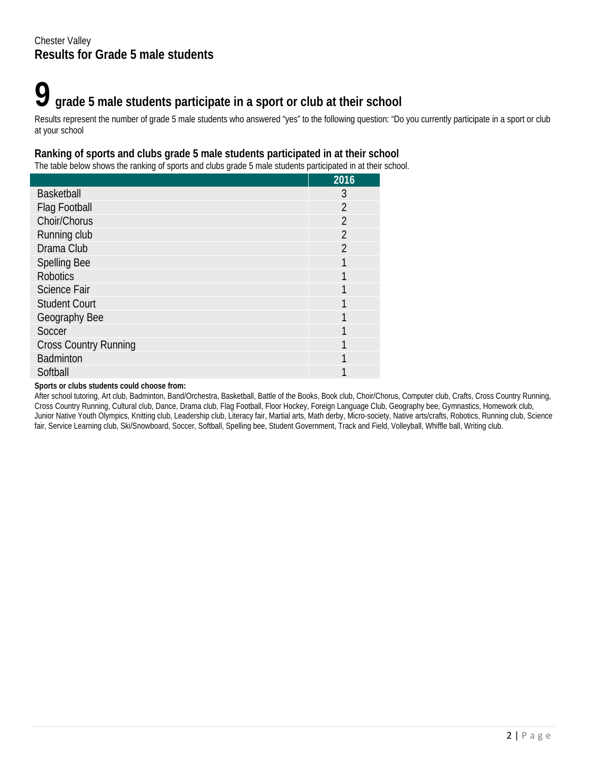## **9 grade 5 male students participate in a sport or club at their school**

Results represent the number of grade 5 male students who answered "yes" to the following question: "Do you currently participate in a sport or club at your school

#### **Ranking of sports and clubs grade 5 male students participated in at their school**

The table below shows the ranking of sports and clubs grade 5 male students participated in at their school.

|                              | 2016           |
|------------------------------|----------------|
| <b>Basketball</b>            | 3              |
| Flag Football                | $\overline{2}$ |
| Choir/Chorus                 | $\overline{2}$ |
| Running club                 | $\overline{2}$ |
| Drama Club                   | $\mathfrak{D}$ |
| <b>Spelling Bee</b>          |                |
| <b>Robotics</b>              |                |
| <b>Science Fair</b>          |                |
| <b>Student Court</b>         |                |
| Geography Bee                |                |
| Soccer                       | 1              |
| <b>Cross Country Running</b> |                |
| <b>Badminton</b>             |                |
| Softball                     |                |

#### **Sports or clubs students could choose from:**

After school tutoring, Art club, Badminton, Band/Orchestra, Basketball, Battle of the Books, Book club, Choir/Chorus, Computer club, Crafts, Cross Country Running, Cross Country Running, Cultural club, Dance, Drama club, Flag Football, Floor Hockey, Foreign Language Club, Geography bee, Gymnastics, Homework club, Junior Native Youth Olympics, Knitting club, Leadership club, Literacy fair, Martial arts, Math derby, Micro-society, Native arts/crafts, Robotics, Running club, Science fair, Service Learning club, Ski/Snowboard, Soccer, Softball, Spelling bee, Student Government, Track and Field, Volleyball, Whiffle ball, Writing club.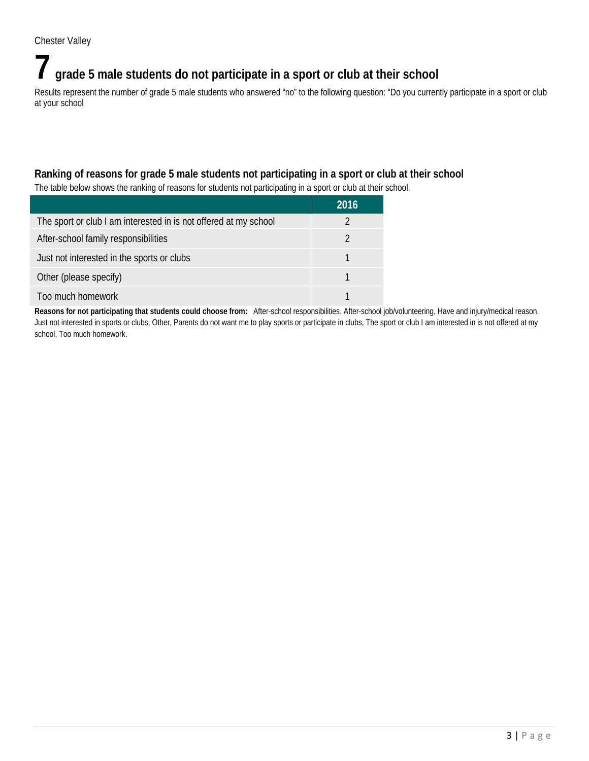## **7 grade 5 male students do not participate in a sport or club at their school**

Results represent the number of grade 5 male students who answered "no" to the following question: "Do you currently participate in a sport or club at your school

### **Ranking of reasons for grade 5 male students not participating in a sport or club at their school**

The table below shows the ranking of reasons for students not participating in a sport or club at their school.

|                                                                  | 2016 |
|------------------------------------------------------------------|------|
| The sport or club I am interested in is not offered at my school |      |
| After-school family responsibilities                             |      |
| Just not interested in the sports or clubs                       |      |
| Other (please specify)                                           |      |
| Too much homework                                                |      |

**Reasons for not participating that students could choose from:** After-school responsibilities, After-school job/volunteering, Have and injury/medical reason, Just not interested in sports or clubs, Other, Parents do not want me to play sports or participate in clubs, The sport or club I am interested in is not offered at my school, Too much homework.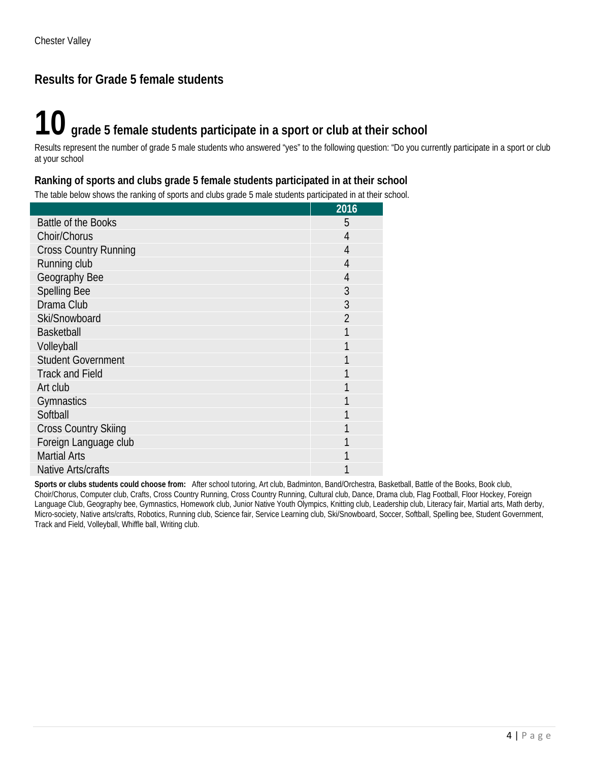## **Results for Grade 5 female students**

# **10 grade 5 female students participate in a sport or club at their school**

Results represent the number of grade 5 male students who answered "yes" to the following question: "Do you currently participate in a sport or club at your school

#### **Ranking of sports and clubs grade 5 female students participated in at their school**

The table below shows the ranking of sports and clubs grade 5 male students participated in at their school.

|                              | 2016          |
|------------------------------|---------------|
| Battle of the Books          | 5             |
| Choir/Chorus                 | 4             |
| <b>Cross Country Running</b> | 4             |
| Running club                 | 4             |
| Geography Bee                | 4             |
| <b>Spelling Bee</b>          | 3             |
| Drama Club                   | 3             |
| Ski/Snowboard                | $\mathcal{P}$ |
| <b>Basketball</b>            |               |
| Volleyball                   |               |
| <b>Student Government</b>    |               |
| <b>Track and Field</b>       |               |
| Art club                     |               |
| Gymnastics                   |               |
| Softball                     |               |
| <b>Cross Country Skiing</b>  |               |
| Foreign Language club        |               |
| <b>Martial Arts</b>          |               |
| Native Arts/crafts           |               |

**Sports or clubs students could choose from:** After school tutoring, Art club, Badminton, Band/Orchestra, Basketball, Battle of the Books, Book club, Choir/Chorus, Computer club, Crafts, Cross Country Running, Cross Country Running, Cultural club, Dance, Drama club, Flag Football, Floor Hockey, Foreign Language Club, Geography bee, Gymnastics, Homework club, Junior Native Youth Olympics, Knitting club, Leadership club, Literacy fair, Martial arts, Math derby, Micro-society, Native arts/crafts, Robotics, Running club, Science fair, Service Learning club, Ski/Snowboard, Soccer, Softball, Spelling bee, Student Government, Track and Field, Volleyball, Whiffle ball, Writing club.